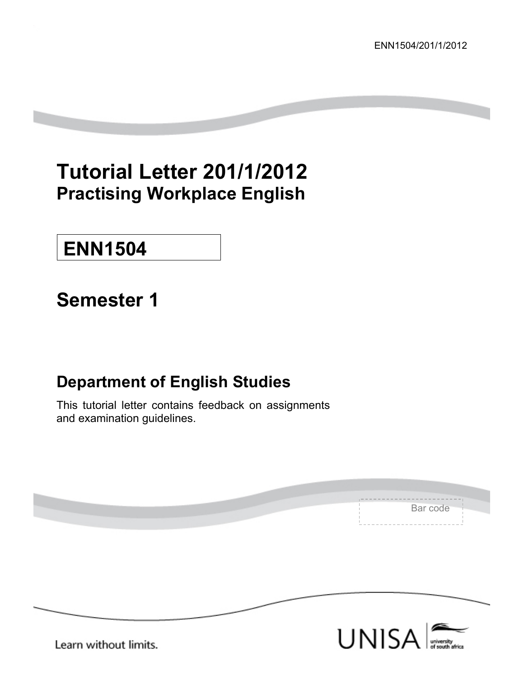# **Tutorial Letter 201/1/2012 Practising Workplace English**

# **ENN1504**

# **Semester 1**

# **Department of English Studies**

This tutorial letter contains feedback on assignments and examination guidelines.

| Bar code |  |
|----------|--|
|          |  |
|          |  |



Learn without limits.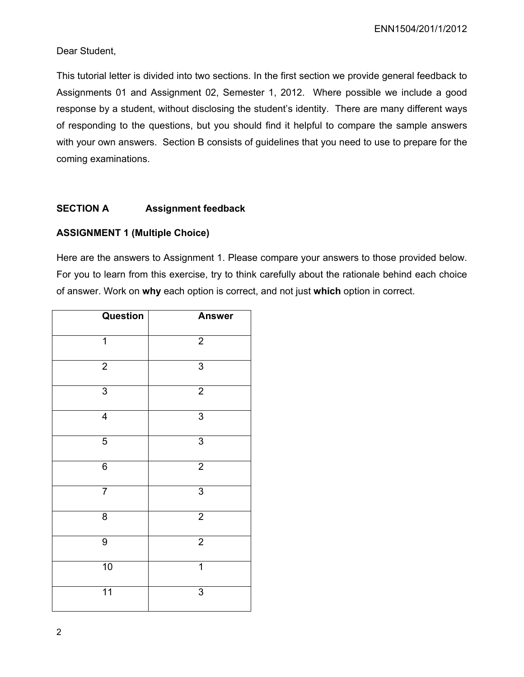## Dear Student,

This tutorial letter is divided into two sections. In the first section we provide general feedback to Assignments 01 and Assignment 02, Semester 1, 2012. Where possible we include a good response by a student, without disclosing the student's identity. There are many different ways of responding to the questions, but you should find it helpful to compare the sample answers with your own answers. Section B consists of guidelines that you need to use to prepare for the coming examinations.

# **SECTION A Assignment feedback**

### **ASSIGNMENT 1 (Multiple Choice)**

Here are the answers to Assignment 1. Please compare your answers to those provided below. For you to learn from this exercise, try to think carefully about the rationale behind each choice of answer. Work on **why** each option is correct, and not just **which** option in correct.

| Question        | <b>Answer</b>  |
|-----------------|----------------|
| 1               | $\overline{2}$ |
| $\overline{2}$  | 3              |
| $\overline{3}$  | $\overline{2}$ |
| $\overline{4}$  | $\overline{3}$ |
| $\overline{5}$  | $\overline{3}$ |
| $\overline{6}$  | $\overline{2}$ |
| $\overline{7}$  | $\overline{3}$ |
| 8               | $\overline{2}$ |
| 9               | $\overline{2}$ |
| 10              | $\overline{1}$ |
| $\overline{11}$ | 3              |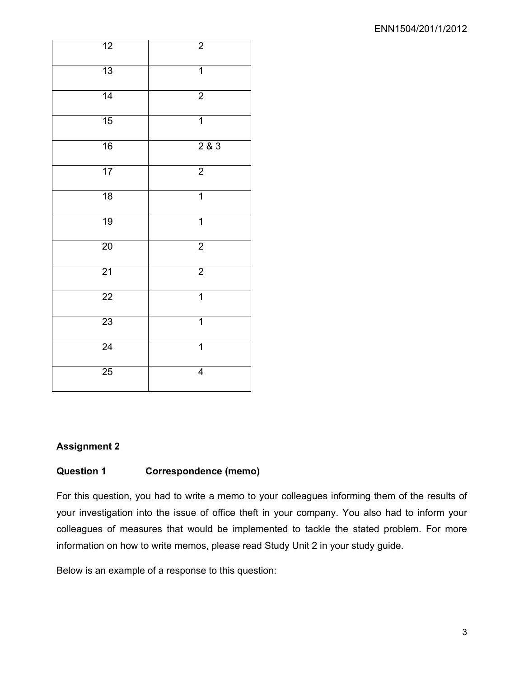| $\overline{12}$ | $\boldsymbol{2}$ |
|-----------------|------------------|
| 13              | $\overline{1}$   |
| 14              | $\overline{2}$   |
| 15              | $\overline{1}$   |
| $\overline{16}$ | 283              |
| $\overline{17}$ | $\overline{2}$   |
| 18              | $\overline{1}$   |
| $\overline{19}$ | $\overline{1}$   |
| $\overline{20}$ | $\overline{2}$   |
| $\overline{21}$ | $\overline{2}$   |
| $\overline{22}$ | $\overline{1}$   |
| $\overline{23}$ | 1                |
| 24              | $\overline{1}$   |
| 25              | $\overline{4}$   |

# **Assignment 2**

# **Question 1 Correspondence (memo)**

For this question, you had to write a memo to your colleagues informing them of the results of your investigation into the issue of office theft in your company. You also had to inform your colleagues of measures that would be implemented to tackle the stated problem. For more information on how to write memos, please read Study Unit 2 in your study guide.

Below is an example of a response to this question: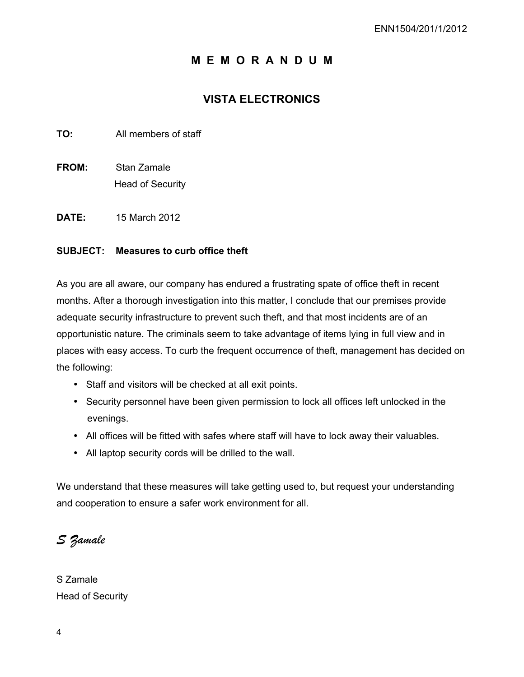# **M E M O R A N D U M**

# **VISTA ELECTRONICS**

**TO:** All members of staff

- **FROM:** Stan Zamale Head of Security
- **DATE:** 15 March 2012

### **SUBJECT: Measures to curb office theft**

As you are all aware, our company has endured a frustrating spate of office theft in recent months. After a thorough investigation into this matter, I conclude that our premises provide adequate security infrastructure to prevent such theft, and that most incidents are of an opportunistic nature. The criminals seem to take advantage of items lying in full view and in places with easy access. To curb the frequent occurrence of theft, management has decided on the following:

- Staff and visitors will be checked at all exit points.
- Security personnel have been given permission to lock all offices left unlocked in the evenings.
- All offices will be fitted with safes where staff will have to lock away their valuables.
- All laptop security cords will be drilled to the wall.

We understand that these measures will take getting used to, but request your understanding and cooperation to ensure a safer work environment for all.

*S Zamale* 

S Zamale Head of Security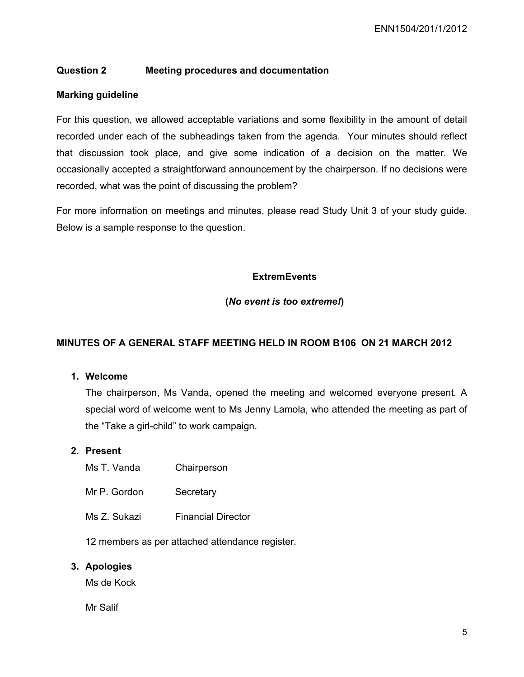# **Question 2 Meeting procedures and documentation**

### **Marking guideline**

For this question, we allowed acceptable variations and some flexibility in the amount of detail recorded under each of the subheadings taken from the agenda. Your minutes should reflect that discussion took place, and give some indication of a decision on the matter. We occasionally accepted a straightforward announcement by the chairperson. If no decisions were recorded, what was the point of discussing the problem?

For more information on meetings and minutes, please read Study Unit 3 of your study guide. Below is a sample response to the question.

# **ExtremEvents**

#### **(***No event is too extreme!***)**

## **MINUTES OF A GENERAL STAFF MEETING HELD IN ROOM B106 ON 21 MARCH 2012**

#### **1. Welcome**

The chairperson, Ms Vanda, opened the meeting and welcomed everyone present. A special word of welcome went to Ms Jenny Lamola, who attended the meeting as part of the "Take a girl-child" to work campaign.

#### **2. Present**

- Ms T. Vanda Chairperson
- Mr P. Gordon Secretary
- Ms Z. Sukazi Financial Director

12 members as per attached attendance register.

#### **3. Apologies**

Ms de Kock

Mr Salif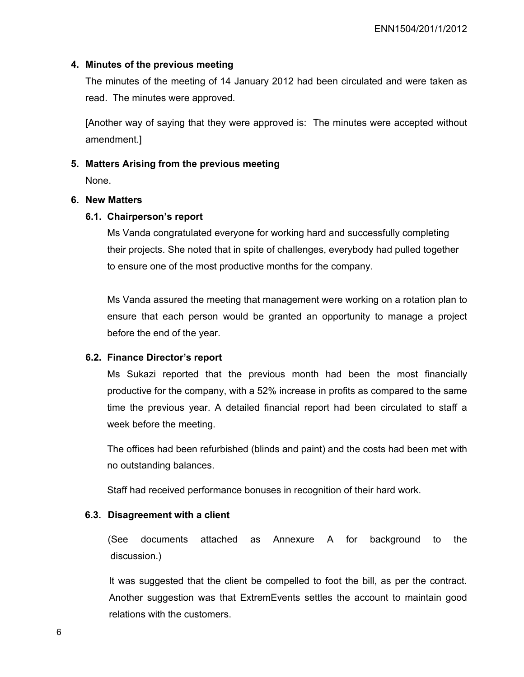#### **4. Minutes of the previous meeting**

The minutes of the meeting of 14 January 2012 had been circulated and were taken as read. The minutes were approved.

[Another way of saying that they were approved is: The minutes were accepted without amendment.]

#### **5. Matters Arising from the previous meeting**

None.

#### **6. New Matters**

#### **6.1. Chairperson's report**

Ms Vanda congratulated everyone for working hard and successfully completing their projects. She noted that in spite of challenges, everybody had pulled together to ensure one of the most productive months for the company.

Ms Vanda assured the meeting that management were working on a rotation plan to ensure that each person would be granted an opportunity to manage a project before the end of the year.

#### **6.2. Finance Director's report**

Ms Sukazi reported that the previous month had been the most financially productive for the company, with a 52% increase in profits as compared to the same time the previous year. A detailed financial report had been circulated to staff a week before the meeting.

The offices had been refurbished (blinds and paint) and the costs had been met with no outstanding balances.

Staff had received performance bonuses in recognition of their hard work.

#### **6.3. Disagreement with a client**

 (See documents attached as Annexure A for background to the discussion.)

It was suggested that the client be compelled to foot the bill, as per the contract. Another suggestion was that ExtremEvents settles the account to maintain good relations with the customers.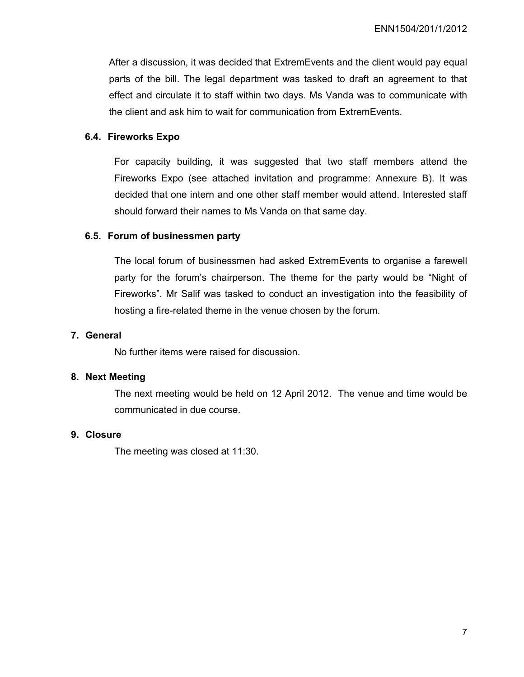After a discussion, it was decided that ExtremEvents and the client would pay equal parts of the bill. The legal department was tasked to draft an agreement to that effect and circulate it to staff within two days. Ms Vanda was to communicate with the client and ask him to wait for communication from ExtremEvents.

## **6.4. Fireworks Expo**

For capacity building, it was suggested that two staff members attend the Fireworks Expo (see attached invitation and programme: Annexure B). It was decided that one intern and one other staff member would attend. Interested staff should forward their names to Ms Vanda on that same day.

#### **6.5. Forum of businessmen party**

The local forum of businessmen had asked ExtremEvents to organise a farewell party for the forum's chairperson. The theme for the party would be "Night of Fireworks". Mr Salif was tasked to conduct an investigation into the feasibility of hosting a fire-related theme in the venue chosen by the forum.

#### **7. General**

No further items were raised for discussion.

#### **8. Next Meeting**

The next meeting would be held on 12 April 2012. The venue and time would be communicated in due course.

#### **9. Closure**

The meeting was closed at 11:30.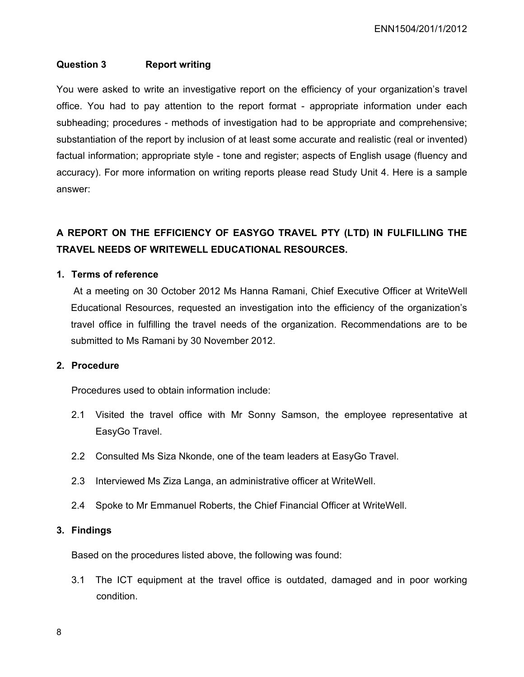### **Question 3 Report writing**

You were asked to write an investigative report on the efficiency of your organization's travel office. You had to pay attention to the report format - appropriate information under each subheading; procedures - methods of investigation had to be appropriate and comprehensive; substantiation of the report by inclusion of at least some accurate and realistic (real or invented) factual information; appropriate style - tone and register; aspects of English usage (fluency and accuracy). For more information on writing reports please read Study Unit 4. Here is a sample answer:

# **A REPORT ON THE EFFICIENCY OF EASYGO TRAVEL PTY (LTD) IN FULFILLING THE TRAVEL NEEDS OF WRITEWELL EDUCATIONAL RESOURCES.**

#### **1. Terms of reference**

At a meeting on 30 October 2012 Ms Hanna Ramani, Chief Executive Officer at WriteWell Educational Resources, requested an investigation into the efficiency of the organization's travel office in fulfilling the travel needs of the organization. Recommendations are to be submitted to Ms Ramani by 30 November 2012.

#### **2. Procedure**

Procedures used to obtain information include:

- 2.1 Visited the travel office with Mr Sonny Samson, the employee representative at EasyGo Travel.
- 2.2 Consulted Ms Siza Nkonde, one of the team leaders at EasyGo Travel.
- 2.3 Interviewed Ms Ziza Langa, an administrative officer at WriteWell.
- 2.4 Spoke to Mr Emmanuel Roberts, the Chief Financial Officer at WriteWell.

#### **3. Findings**

Based on the procedures listed above, the following was found:

3.1 The ICT equipment at the travel office is outdated, damaged and in poor working condition.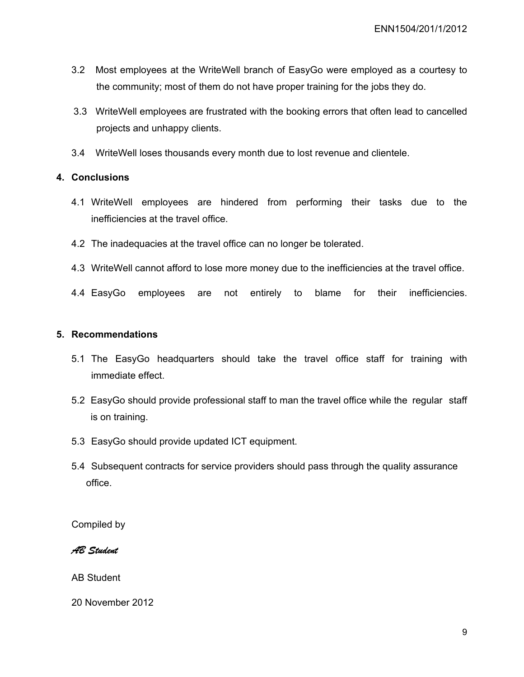- 3.2 Most employees at the WriteWell branch of EasyGo were employed as a courtesy to the community; most of them do not have proper training for the jobs they do.
- 3.3 WriteWell employees are frustrated with the booking errors that often lead to cancelled projects and unhappy clients.
- 3.4 WriteWell loses thousands every month due to lost revenue and clientele.

# **4. Conclusions**

- 4.1 WriteWell employees are hindered from performing their tasks due to the inefficiencies at the travel office.
- 4.2 The inadequacies at the travel office can no longer be tolerated.
- 4.3 WriteWell cannot afford to lose more money due to the inefficiencies at the travel office.
- 4.4 EasyGo employees are not entirely to blame for their inefficiencies.

#### **5. Recommendations**

- 5.1 The EasyGo headquarters should take the travel office staff for training with immediate effect.
- 5.2 EasyGo should provide professional staff to man the travel office while the regular staff is on training.
- 5.3 EasyGo should provide updated ICT equipment.
- 5.4 Subsequent contracts for service providers should pass through the quality assurance office.

Compiled by

*AB Student* 

AB Student

20 November 2012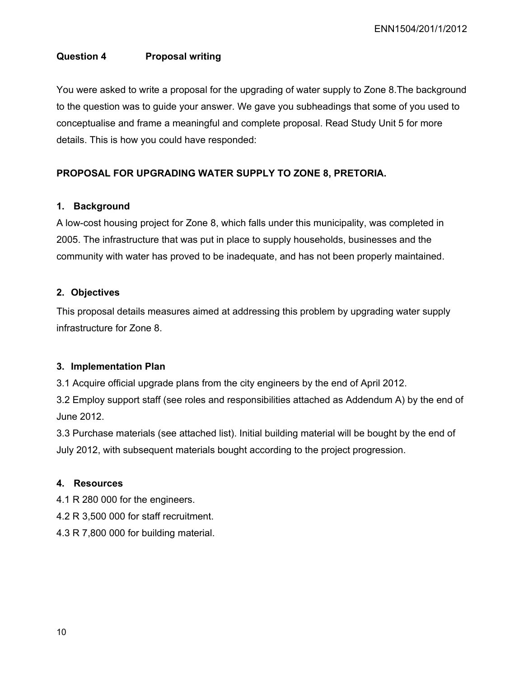# **Question 4 Proposal writing**

You were asked to write a proposal for the upgrading of water supply to Zone 8.The background to the question was to guide your answer. We gave you subheadings that some of you used to conceptualise and frame a meaningful and complete proposal. Read Study Unit 5 for more details. This is how you could have responded:

# **PROPOSAL FOR UPGRADING WATER SUPPLY TO ZONE 8, PRETORIA.**

### **1. Background**

A low-cost housing project for Zone 8, which falls under this municipality, was completed in 2005. The infrastructure that was put in place to supply households, businesses and the community with water has proved to be inadequate, and has not been properly maintained.

### **2. Objectives**

This proposal details measures aimed at addressing this problem by upgrading water supply infrastructure for Zone 8.

#### **3. Implementation Plan**

3.1 Acquire official upgrade plans from the city engineers by the end of April 2012.

3.2 Employ support staff (see roles and responsibilities attached as Addendum A) by the end of June 2012.

3.3 Purchase materials (see attached list). Initial building material will be bought by the end of July 2012, with subsequent materials bought according to the project progression.

#### **4. Resources**

4.1 R 280 000 for the engineers.

- 4.2 R 3,500 000 for staff recruitment.
- 4.3 R 7,800 000 for building material.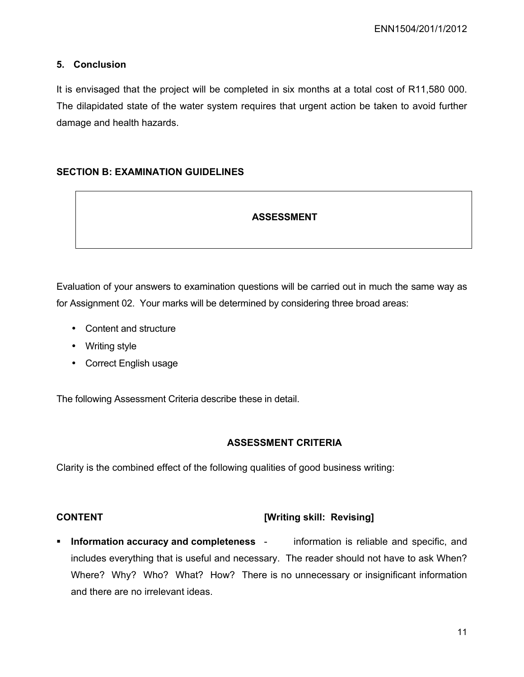# **5. Conclusion**

It is envisaged that the project will be completed in six months at a total cost of R11,580 000. The dilapidated state of the water system requires that urgent action be taken to avoid further damage and health hazards.

# **SECTION B: EXAMINATION GUIDELINES**

# **ASSESSMENT**

Evaluation of your answers to examination questions will be carried out in much the same way as for Assignment 02. Your marks will be determined by considering three broad areas:

- Content and structure
- Writing style
- Correct English usage

The following Assessment Criteria describe these in detail.

# **ASSESSMENT CRITERIA**

Clarity is the combined effect of the following qualities of good business writing:

# **CONTENT [Writing skill: Revising]**

**Information accuracy and completeness** - information is reliable and specific, and includes everything that is useful and necessary. The reader should not have to ask When? Where? Why? Who? What? How? There is no unnecessary or insignificant information and there are no irrelevant ideas.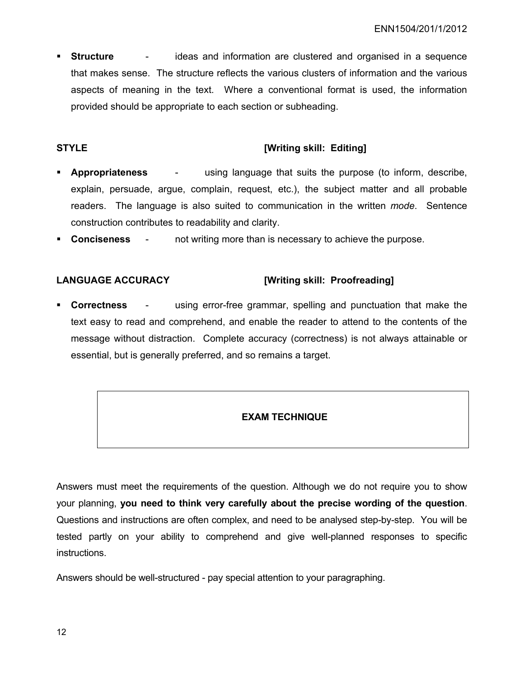**Structure -** ideas and information are clustered and organised in a sequence that makes sense. The structure reflects the various clusters of information and the various aspects of meaning in the text. Where a conventional format is used, the information provided should be appropriate to each section or subheading.

# **STYLE** *STYLE Mriting skill: Editing]*

- **Appropriateness** using language that suits the purpose (to inform, describe, explain, persuade, argue, complain, request, etc.), the subject matter and all probable readers. The language is also suited to communication in the written *mode*. Sentence construction contributes to readability and clarity.
- **Conciseness** not writing more than is necessary to achieve the purpose.

# **LANGUAGE ACCURACY [Writing skill: Proofreading]**

 **Correctness** - using error-free grammar, spelling and punctuation that make the text easy to read and comprehend, and enable the reader to attend to the contents of the message without distraction. Complete accuracy (correctness) is not always attainable or essential, but is generally preferred, and so remains a target.

# **EXAM TECHNIQUE**

Answers must meet the requirements of the question. Although we do not require you to show your planning, **you need to think very carefully about the precise wording of the question**. Questions and instructions are often complex, and need to be analysed step-by-step. You will be tested partly on your ability to comprehend and give well-planned responses to specific instructions.

Answers should be well-structured - pay special attention to your paragraphing.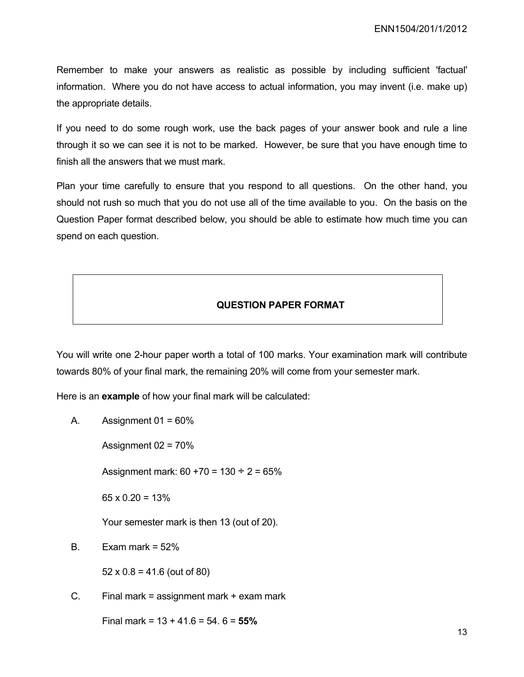Remember to make your answers as realistic as possible by including sufficient 'factual' information. Where you do not have access to actual information, you may invent (i.e. make up) the appropriate details.

If you need to do some rough work, use the back pages of your answer book and rule a line through it so we can see it is not to be marked. However, be sure that you have enough time to finish all the answers that we must mark.

Plan your time carefully to ensure that you respond to all questions. On the other hand, you should not rush so much that you do not use all of the time available to you. On the basis on the Question Paper format described below, you should be able to estimate how much time you can spend on each question.

#### **QUESTION PAPER FORMAT**

You will write one 2-hour paper worth a total of 100 marks. Your examination mark will contribute towards 80% of your final mark, the remaining 20% will come from your semester mark.

Here is an **example** of how your final mark will be calculated:

A. Assignment  $01 = 60\%$ 

Assignment  $02 = 70\%$ 

Assignment mark:  $60 + 70 = 130 \div 2 = 65\%$ 

 $65 \times 0.20 = 13\%$ 

Your semester mark is then 13 (out of 20).

B. Exam mark =  $52\%$ 

 $52 \times 0.8 = 41.6$  (out of 80)

C. Final mark = assignment mark + exam mark

Final mark = 13 + 41.6 = 54. 6 = **55%**